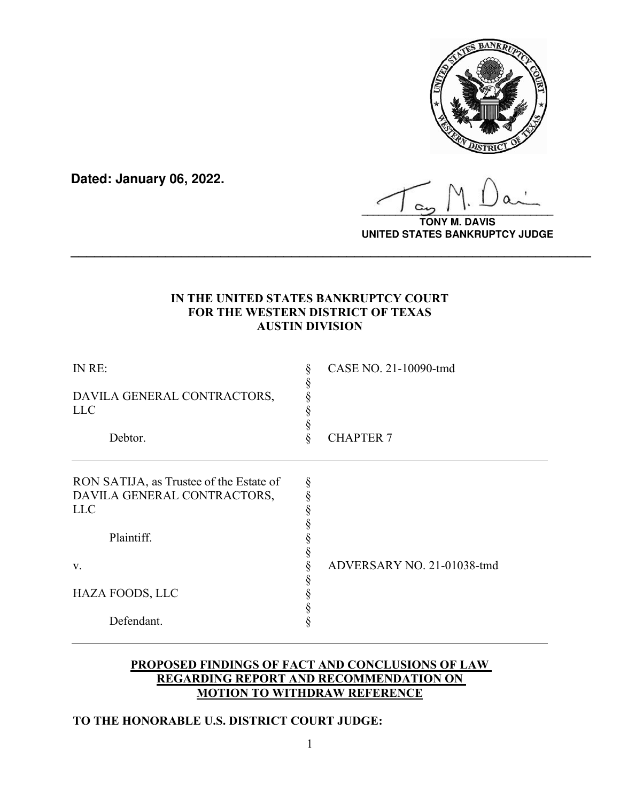

**Dated: January 06, 2022.**

**\_\_\_\_\_\_\_\_\_\_\_\_\_\_\_\_\_\_\_\_\_\_\_\_\_\_\_\_\_\_\_\_\_\_**

**TONY M. DAVIS UNITED STATES BANKRUPTCY JUDGE**

# **IN THE UNITED STATES BANKRUPTCY COURT FOR THE WESTERN DISTRICT OF TEXAS AUSTIN DIVISION**

**\_\_\_\_\_\_\_\_\_\_\_\_\_\_\_\_\_\_\_\_\_\_\_\_\_\_\_\_\_\_\_\_\_\_\_\_\_\_\_\_\_\_\_\_\_\_\_\_\_\_\_\_\_\_\_\_\_\_\_\_\_\_\_\_\_\_**

| IN RE:<br>DAVILA GENERAL CONTRACTORS,<br><b>LLC</b><br>Debtor.                                                                            | § | CASE NO. 21-10090-tmd<br><b>CHAPTER 7</b> |
|-------------------------------------------------------------------------------------------------------------------------------------------|---|-------------------------------------------|
| RON SATIJA, as Trustee of the Estate of<br>DAVILA GENERAL CONTRACTORS,<br><b>LLC</b><br>Plaintiff.<br>V.<br>HAZA FOODS, LLC<br>Defendant. | § | ADVERSARY NO. 21-01038-tmd                |

# **PROPOSED FINDINGS OF FACT AND CONCLUSIONS OF LAW REGARDING REPORT AND RECOMMENDATION ON MOTION TO WITHDRAW REFERENCE**

# **TO THE HONORABLE U.S. DISTRICT COURT JUDGE:**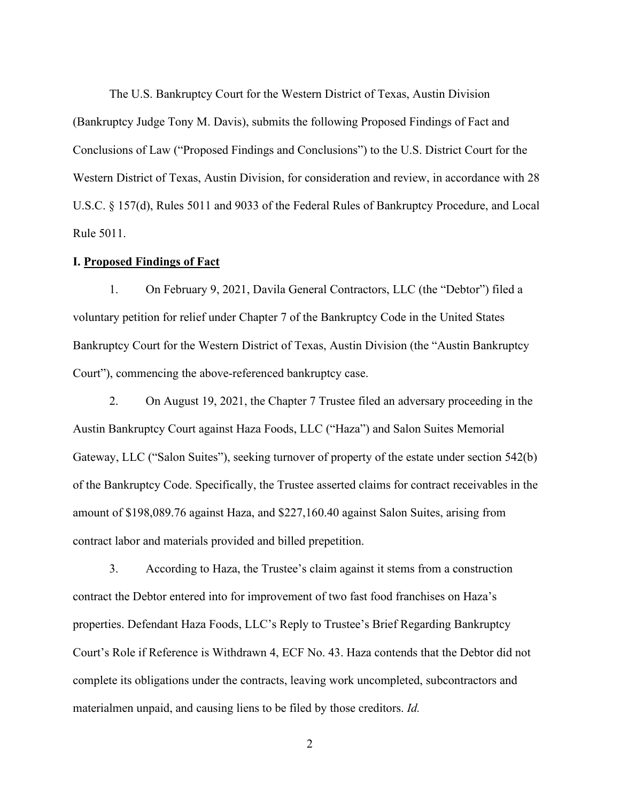The U.S. Bankruptcy Court for the Western District of Texas, Austin Division (Bankruptcy Judge Tony M. Davis), submits the following Proposed Findings of Fact and Conclusions of Law ("Proposed Findings and Conclusions") to the U.S. District Court for the Western District of Texas, Austin Division, for consideration and review, in accordance with 28 U.S.C. § 157(d), Rules 5011 and 9033 of the Federal Rules of Bankruptcy Procedure, and Local Rule 5011.

### **I. Proposed Findings of Fact**

1. On February 9, 2021, Davila General Contractors, LLC (the "Debtor") filed a voluntary petition for relief under Chapter 7 of the Bankruptcy Code in the United States Bankruptcy Court for the Western District of Texas, Austin Division (the "Austin Bankruptcy Court"), commencing the above-referenced bankruptcy case.

2. On August 19, 2021, the Chapter 7 Trustee filed an adversary proceeding in the Austin Bankruptcy Court against Haza Foods, LLC ("Haza") and Salon Suites Memorial Gateway, LLC ("Salon Suites"), seeking turnover of property of the estate under section 542(b) of the Bankruptcy Code. Specifically, the Trustee asserted claims for contract receivables in the amount of \$198,089.76 against Haza, and \$227,160.40 against Salon Suites, arising from contract labor and materials provided and billed prepetition.

3. According to Haza, the Trustee's claim against it stems from a construction contract the Debtor entered into for improvement of two fast food franchises on Haza's properties. Defendant Haza Foods, LLC's Reply to Trustee's Brief Regarding Bankruptcy Court's Role if Reference is Withdrawn 4, ECF No. 43. Haza contends that the Debtor did not complete its obligations under the contracts, leaving work uncompleted, subcontractors and materialmen unpaid, and causing liens to be filed by those creditors. *Id.*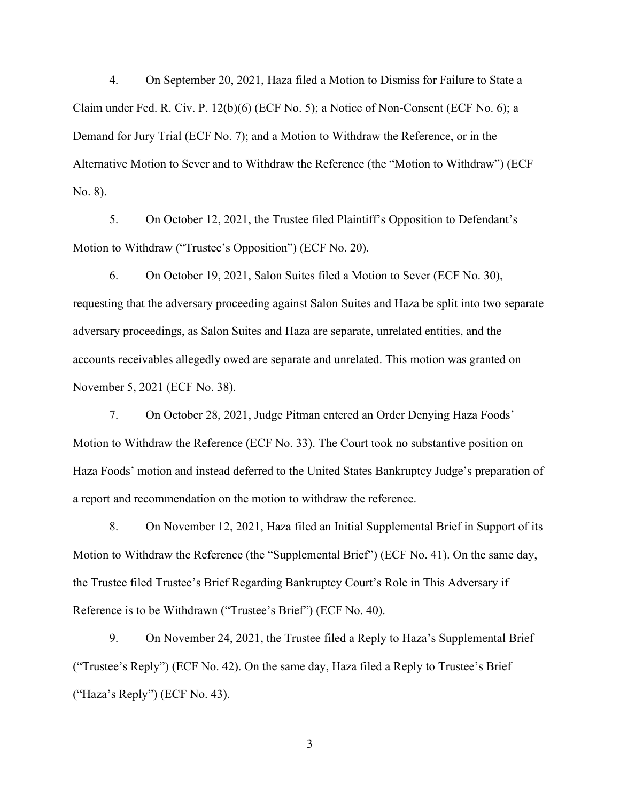4. On September 20, 2021, Haza filed a Motion to Dismiss for Failure to State a Claim under Fed. R. Civ. P. 12(b)(6) (ECF No. 5); a Notice of Non-Consent (ECF No. 6); a Demand for Jury Trial (ECF No. 7); and a Motion to Withdraw the Reference, or in the Alternative Motion to Sever and to Withdraw the Reference (the "Motion to Withdraw") (ECF No. 8).

5. On October 12, 2021, the Trustee filed Plaintiff's Opposition to Defendant's Motion to Withdraw ("Trustee's Opposition") (ECF No. 20).

6. On October 19, 2021, Salon Suites filed a Motion to Sever (ECF No. 30), requesting that the adversary proceeding against Salon Suites and Haza be split into two separate adversary proceedings, as Salon Suites and Haza are separate, unrelated entities, and the accounts receivables allegedly owed are separate and unrelated. This motion was granted on November 5, 2021 (ECF No. 38).

7. On October 28, 2021, Judge Pitman entered an Order Denying Haza Foods' Motion to Withdraw the Reference (ECF No. 33). The Court took no substantive position on Haza Foods' motion and instead deferred to the United States Bankruptcy Judge's preparation of a report and recommendation on the motion to withdraw the reference.

8. On November 12, 2021, Haza filed an Initial Supplemental Brief in Support of its Motion to Withdraw the Reference (the "Supplemental Brief") (ECF No. 41). On the same day, the Trustee filed Trustee's Brief Regarding Bankruptcy Court's Role in This Adversary if Reference is to be Withdrawn ("Trustee's Brief") (ECF No. 40).

9. On November 24, 2021, the Trustee filed a Reply to Haza's Supplemental Brief ("Trustee's Reply") (ECF No. 42). On the same day, Haza filed a Reply to Trustee's Brief ("Haza's Reply") (ECF No. 43).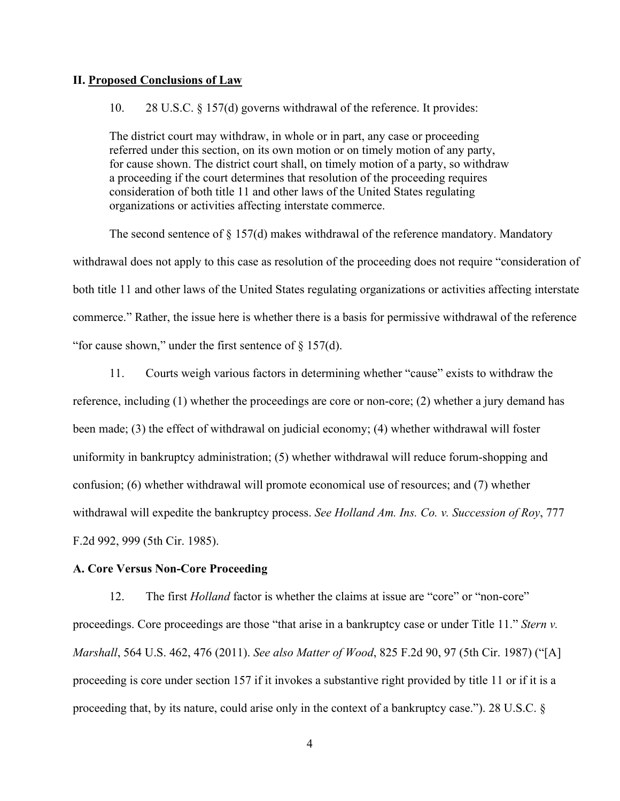### **II. Proposed Conclusions of Law**

### 10. 28 U.S.C. § 157(d) governs withdrawal of the reference. It provides:

The district court may withdraw, in whole or in part, any case or proceeding referred under this section, on its own motion or on timely motion of any party, for cause shown. The district court shall, on timely motion of a party, so withdraw a proceeding if the court determines that resolution of the proceeding requires consideration of both title 11 and other laws of the United States regulating organizations or activities affecting interstate commerce.

The second sentence of § 157(d) makes withdrawal of the reference mandatory. Mandatory withdrawal does not apply to this case as resolution of the proceeding does not require "consideration of both title 11 and other laws of the United States regulating organizations or activities affecting interstate commerce." Rather, the issue here is whether there is a basis for permissive withdrawal of the reference "for cause shown," under the first sentence of  $\S 157(d)$ .

11. Courts weigh various factors in determining whether "cause" exists to withdraw the reference, including (1) whether the proceedings are core or non-core; (2) whether a jury demand has been made; (3) the effect of withdrawal on judicial economy; (4) whether withdrawal will foster uniformity in bankruptcy administration; (5) whether withdrawal will reduce forum-shopping and confusion; (6) whether withdrawal will promote economical use of resources; and (7) whether withdrawal will expedite the bankruptcy process. *See Holland Am. Ins. Co. v. Succession of Roy*, 777 F.2d 992, 999 (5th Cir. 1985).

### **A. Core Versus Non-Core Proceeding**

12. The first *Holland* factor is whether the claims at issue are "core" or "non-core" proceedings. Core proceedings are those "that arise in a bankruptcy case or under Title 11." *Stern v. Marshall*, 564 U.S. 462, 476 (2011). *See also Matter of Wood*, 825 F.2d 90, 97 (5th Cir. 1987) ("[A] proceeding is core under section 157 if it invokes a substantive right provided by title 11 or if it is a proceeding that, by its nature, could arise only in the context of a bankruptcy case."). 28 U.S.C. §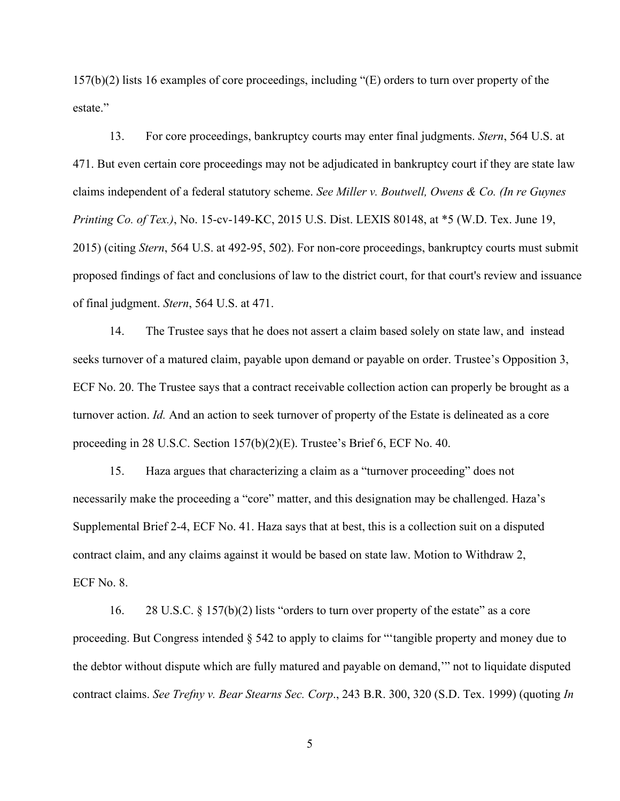157(b)(2) lists 16 examples of core proceedings, including "(E) orders to turn over property of the estate."

13. For core proceedings, bankruptcy courts may enter final judgments. *Stern*, 564 U.S. at 471. But even certain core proceedings may not be adjudicated in bankruptcy court if they are state law claims independent of a federal statutory scheme. *See Miller v. Boutwell, Owens & Co. (In re Guynes Printing Co. of Tex.)*, No. 15-cv-149-KC, 2015 U.S. Dist. LEXIS 80148, at \*5 (W.D. Tex. June 19, 2015) (citing *Stern*, 564 U.S. at 492-95, 502). For non-core proceedings, bankruptcy courts must submit proposed findings of fact and conclusions of law to the district court, for that court's review and issuance of final judgment. *Stern*, 564 U.S. at 471.

14. The Trustee says that he does not assert a claim based solely on state law, and instead seeks turnover of a matured claim, payable upon demand or payable on order. Trustee's Opposition 3, ECF No. 20. The Trustee says that a contract receivable collection action can properly be brought as a turnover action. *Id.* And an action to seek turnover of property of the Estate is delineated as a core proceeding in 28 U.S.C. Section 157(b)(2)(E). Trustee's Brief 6, ECF No. 40.

15. Haza argues that characterizing a claim as a "turnover proceeding" does not necessarily make the proceeding a "core" matter, and this designation may be challenged. Haza's Supplemental Brief 2-4, ECF No. 41. Haza says that at best, this is a collection suit on a disputed contract claim, and any claims against it would be based on state law. Motion to Withdraw 2, ECF No. 8.

16. 28 U.S.C. § 157(b)(2) lists "orders to turn over property of the estate" as a core proceeding. But Congress intended § 542 to apply to claims for "'tangible property and money due to the debtor without dispute which are fully matured and payable on demand,'" not to liquidate disputed contract claims. *See Trefny v. Bear Stearns Sec. Corp*., 243 B.R. 300, 320 (S.D. Tex. 1999) (quoting *In*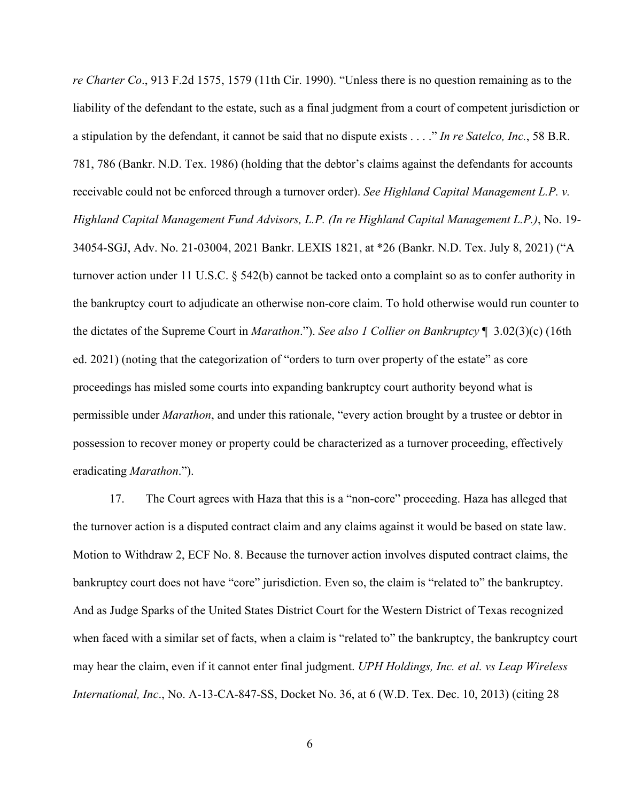*re Charter Co*., 913 F.2d 1575, 1579 (11th Cir. 1990). "Unless there is no question remaining as to the liability of the defendant to the estate, such as a final judgment from a court of competent jurisdiction or a stipulation by the defendant, it cannot be said that no dispute exists . . . ." *In re Satelco, Inc.*, 58 B.R. 781, 786 (Bankr. N.D. Tex. 1986) (holding that the debtor's claims against the defendants for accounts receivable could not be enforced through a turnover order). *See Highland Capital Management L.P. v. Highland Capital Management Fund Advisors, L.P. (In re Highland Capital Management L.P.)*, No. 19- 34054-SGJ, Adv. No. 21-03004, 2021 Bankr. LEXIS 1821, at \*26 (Bankr. N.D. Tex. July 8, 2021) ("A turnover action under 11 U.S.C. § 542(b) cannot be tacked onto a complaint so as to confer authority in the bankruptcy court to adjudicate an otherwise non-core claim. To hold otherwise would run counter to the dictates of the Supreme Court in *Marathon*."). *See also 1 Collier on Bankruptcy* ¶ 3.02(3)(c) (16th ed. 2021) (noting that the categorization of "orders to turn over property of the estate" as core proceedings has misled some courts into expanding bankruptcy court authority beyond what is permissible under *Marathon*, and under this rationale, "every action brought by a trustee or debtor in possession to recover money or property could be characterized as a turnover proceeding, effectively eradicating *Marathon*.").

17. The Court agrees with Haza that this is a "non-core" proceeding. Haza has alleged that the turnover action is a disputed contract claim and any claims against it would be based on state law. Motion to Withdraw 2, ECF No. 8. Because the turnover action involves disputed contract claims, the bankruptcy court does not have "core" jurisdiction. Even so, the claim is "related to" the bankruptcy. And as Judge Sparks of the United States District Court for the Western District of Texas recognized when faced with a similar set of facts, when a claim is "related to" the bankruptcy, the bankruptcy court may hear the claim, even if it cannot enter final judgment. *UPH Holdings, Inc. et al. vs Leap Wireless International, Inc*., No. A-13-CA-847-SS, Docket No. 36, at 6 (W.D. Tex. Dec. 10, 2013) (citing 28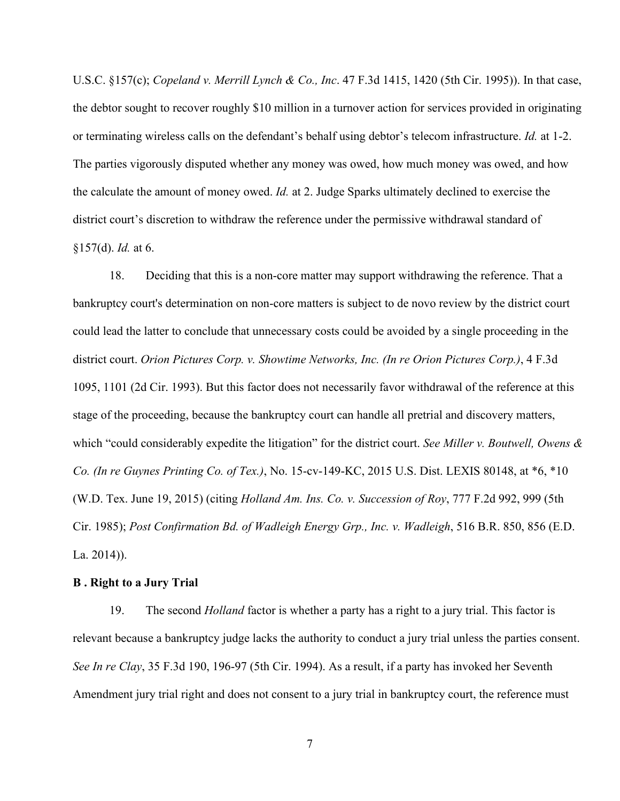U.S.C. §157(c); *Copeland v. Merrill Lynch & Co., Inc*. 47 F.3d 1415, 1420 (5th Cir. 1995)). In that case, the debtor sought to recover roughly \$10 million in a turnover action for services provided in originating or terminating wireless calls on the defendant's behalf using debtor's telecom infrastructure. *Id.* at 1-2. The parties vigorously disputed whether any money was owed, how much money was owed, and how the calculate the amount of money owed. *Id.* at 2. Judge Sparks ultimately declined to exercise the district court's discretion to withdraw the reference under the permissive withdrawal standard of §157(d). *Id.* at 6.

18. Deciding that this is a non-core matter may support withdrawing the reference. That a bankruptcy court's determination on non-core matters is subject to de novo review by the district court could lead the latter to conclude that unnecessary costs could be avoided by a single proceeding in the district court. *Orion Pictures Corp. v. Showtime Networks, Inc. (In re Orion Pictures Corp.)*, 4 F.3d 1095, 1101 (2d Cir. 1993). But this factor does not necessarily favor withdrawal of the reference at this stage of the proceeding, because the bankruptcy court can handle all pretrial and discovery matters, which "could considerably expedite the litigation" for the district court. *See Miller v. Boutwell, Owens & Co. (In re Guynes Printing Co. of Tex.)*, No. 15-cv-149-KC, 2015 U.S. Dist. LEXIS 80148, at \*6, \*10 (W.D. Tex. June 19, 2015) (citing *Holland Am. Ins. Co. v. Succession of Roy*, 777 F.2d 992, 999 (5th Cir. 1985); *Post Confirmation Bd. of Wadleigh Energy Grp., Inc. v. Wadleigh*, 516 B.R. 850, 856 (E.D. La. 2014)).

#### **B . Right to a Jury Trial**

19. The second *Holland* factor is whether a party has a right to a jury trial. This factor is relevant because a bankruptcy judge lacks the authority to conduct a jury trial unless the parties consent. *See In re Clay*, 35 F.3d 190, 196-97 (5th Cir. 1994). As a result, if a party has invoked her Seventh Amendment jury trial right and does not consent to a jury trial in bankruptcy court, the reference must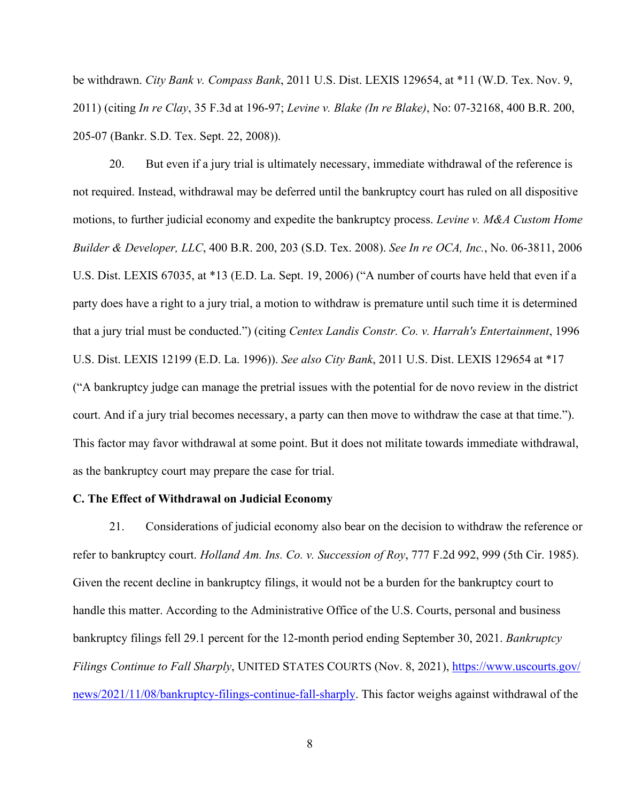be withdrawn. *City Bank v. Compass Bank*, 2011 U.S. Dist. LEXIS 129654, at \*11 (W.D. Tex. Nov. 9, 2011) (citing *In re Clay*, 35 F.3d at 196-97; *Levine v. Blake (In re Blake)*, No: 07-32168, 400 B.R. 200, 205-07 (Bankr. S.D. Tex. Sept. 22, 2008)).

20. But even if a jury trial is ultimately necessary, immediate withdrawal of the reference is not required. Instead, withdrawal may be deferred until the bankruptcy court has ruled on all dispositive motions, to further judicial economy and expedite the bankruptcy process. *Levine v. M&A Custom Home Builder & Developer, LLC*, 400 B.R. 200, 203 (S.D. Tex. 2008). *See In re OCA, Inc.*, No. 06-3811, 2006 U.S. Dist. LEXIS 67035, at \*13 (E.D. La. Sept. 19, 2006) ("A number of courts have held that even if a party does have a right to a jury trial, a motion to withdraw is premature until such time it is determined that a jury trial must be conducted.") (citing *Centex Landis Constr. Co. v. Harrah's Entertainment*, 1996 U.S. Dist. LEXIS 12199 (E.D. La. 1996)). *See also City Bank*, 2011 U.S. Dist. LEXIS 129654 at \*17 ("A bankruptcy judge can manage the pretrial issues with the potential for de novo review in the district court. And if a jury trial becomes necessary, a party can then move to withdraw the case at that time."). This factor may favor withdrawal at some point. But it does not militate towards immediate withdrawal, as the bankruptcy court may prepare the case for trial.

### **C. The Effect of Withdrawal on Judicial Economy**

21. Considerations of judicial economy also bear on the decision to withdraw the reference or refer to bankruptcy court. *Holland Am. Ins. Co. v. Succession of Roy*, 777 F.2d 992, 999 (5th Cir. 1985). Given the recent decline in bankruptcy filings, it would not be a burden for the bankruptcy court to handle this matter. According to the Administrative Office of the U.S. Courts, personal and business bankruptcy filings fell 29.1 percent for the 12-month period ending September 30, 2021. *Bankruptcy Filings Continue to Fall Sharply*, UNITED STATES COURTS (Nov. 8, 2021), [https://www.uscourts.gov/](https://www.uscourts.gov/news/2021/11/08/bankruptcy-filings-continue-fall-sharply) [news/2021/11/08/bankruptcy-filings-continue-fall-sharply.](https://www.uscourts.gov/news/2021/11/08/bankruptcy-filings-continue-fall-sharply) This factor weighs against withdrawal of the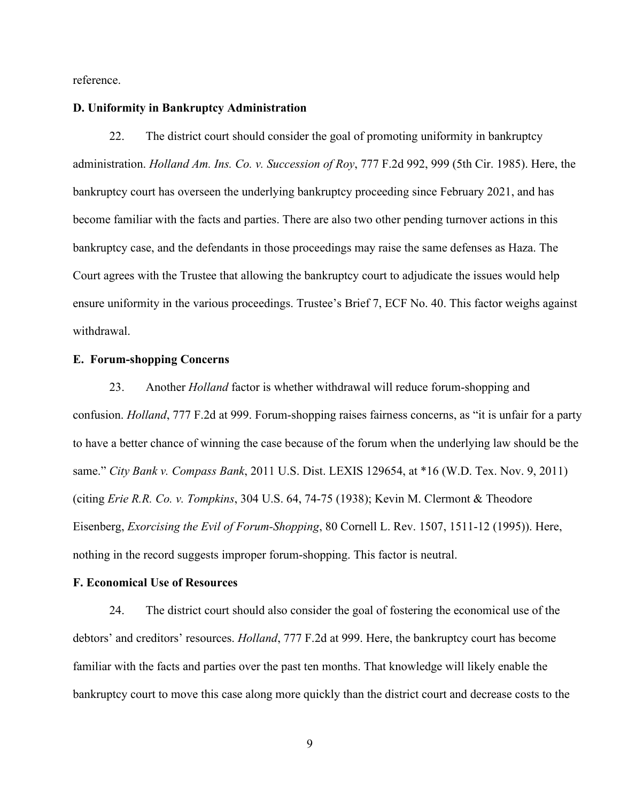reference.

### **D. Uniformity in Bankruptcy Administration**

22. The district court should consider the goal of promoting uniformity in bankruptcy administration. *Holland Am. Ins. Co. v. Succession of Roy*, 777 F.2d 992, 999 (5th Cir. 1985). Here, the bankruptcy court has overseen the underlying bankruptcy proceeding since February 2021, and has become familiar with the facts and parties. There are also two other pending turnover actions in this bankruptcy case, and the defendants in those proceedings may raise the same defenses as Haza. The Court agrees with the Trustee that allowing the bankruptcy court to adjudicate the issues would help ensure uniformity in the various proceedings. Trustee's Brief 7, ECF No. 40. This factor weighs against withdrawal.

### **E. Forum-shopping Concerns**

23. Another *Holland* factor is whether withdrawal will reduce forum-shopping and confusion. *Holland*, 777 F.2d at 999. Forum-shopping raises fairness concerns, as "it is unfair for a party to have a better chance of winning the case because of the forum when the underlying law should be the same." *City Bank v. Compass Bank*, 2011 U.S. Dist. LEXIS 129654, at \*16 (W.D. Tex. Nov. 9, 2011) (citing *Erie R.R. Co. v. Tompkins*, 304 U.S. 64, 74-75 (1938); Kevin M. Clermont & Theodore Eisenberg, *Exorcising the Evil of Forum-Shopping*, 80 Cornell L. Rev. 1507, 1511-12 (1995)). Here, nothing in the record suggests improper forum-shopping. This factor is neutral.

#### **F. Economical Use of Resources**

24. The district court should also consider the goal of fostering the economical use of the debtors' and creditors' resources. *Holland*, 777 F.2d at 999. Here, the bankruptcy court has become familiar with the facts and parties over the past ten months. That knowledge will likely enable the bankruptcy court to move this case along more quickly than the district court and decrease costs to the